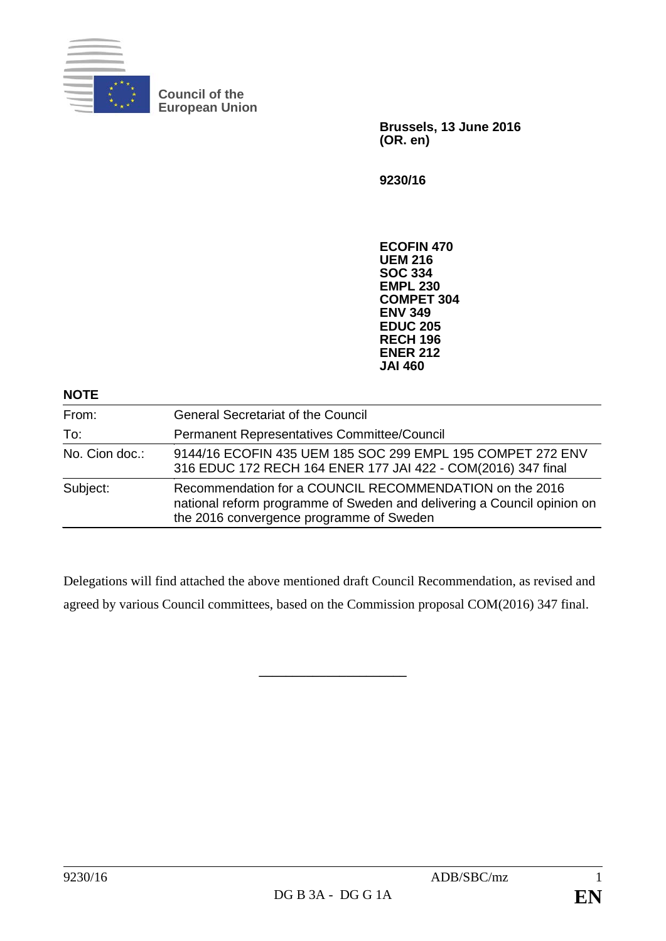

**Council of the European Union**

> **Brussels, 13 June 2016 (OR. en)**

**9230/16**

**ECOFIN 470 UEM 216 SOC 334 EMPL 230 COMPET 304 ENV 349 EDUC 205 RECH 196 ENER 212 JAI 460**

| <b>NOTE</b>    |                                                                                                                                                                                |
|----------------|--------------------------------------------------------------------------------------------------------------------------------------------------------------------------------|
| From:          | <b>General Secretariat of the Council</b>                                                                                                                                      |
| To:            | Permanent Representatives Committee/Council                                                                                                                                    |
| No. Cion doc.: | 9144/16 ECOFIN 435 UEM 185 SOC 299 EMPL 195 COMPET 272 ENV<br>316 EDUC 172 RECH 164 ENER 177 JAI 422 - COM(2016) 347 final                                                     |
| Subject:       | Recommendation for a COUNCIL RECOMMENDATION on the 2016<br>national reform programme of Sweden and delivering a Council opinion on<br>the 2016 convergence programme of Sweden |

Delegations will find attached the above mentioned draft Council Recommendation, as revised and agreed by various Council committees, based on the Commission proposal COM(2016) 347 final.

**\_\_\_\_\_\_\_\_\_\_\_\_\_\_\_\_\_\_\_\_\_\_**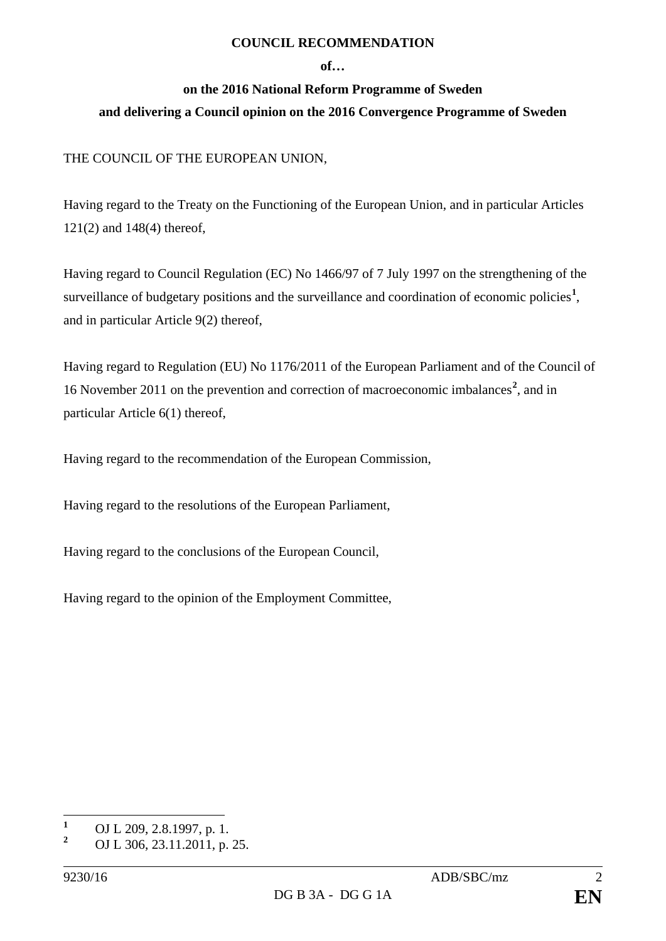### **COUNCIL RECOMMENDATION**

#### **of…**

# **on the 2016 National Reform Programme of Sweden and delivering a Council opinion on the 2016 Convergence Programme of Sweden**

## THE COUNCIL OF THE EUROPEAN UNION,

Having regard to the Treaty on the Functioning of the European Union, and in particular Articles 121(2) and 148(4) thereof,

Having regard to Council Regulation (EC) No 1466/97 of 7 July 1997 on the strengthening of the surveillance of budgetary positions and the surveillance and coordination of economic policies<sup>[1](#page-1-0)</sup>, and in particular Article 9(2) thereof,

Having regard to Regulation (EU) No 1176/2011 of the European Parliament and of the Council of 16 November 2011 on the prevention and correction of macroeconomic imbalances**[2](#page-1-1)** , and in particular Article 6(1) thereof,

Having regard to the recommendation of the European Commission,

Having regard to the resolutions of the European Parliament,

Having regard to the conclusions of the European Council,

Having regard to the opinion of the Employment Committee,

<span id="page-1-0"></span><sup>&</sup>lt;sup>1</sup> OJ L 209, 2.8.1997, p. 1.

<span id="page-1-1"></span>**<sup>2</sup>** OJ L 306, 23.11.2011, p. 25.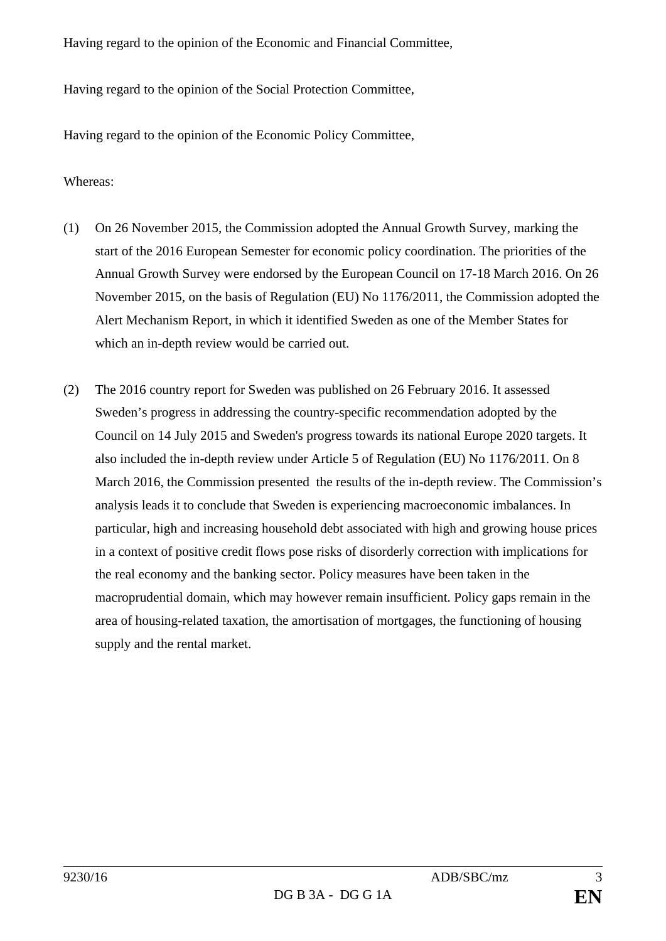Having regard to the opinion of the Economic and Financial Committee,

Having regard to the opinion of the Social Protection Committee,

Having regard to the opinion of the Economic Policy Committee,

### Whereas:

- (1) On 26 November 2015, the Commission adopted the Annual Growth Survey, marking the start of the 2016 European Semester for economic policy coordination. The priorities of the Annual Growth Survey were endorsed by the European Council on 17-18 March 2016. On 26 November 2015, on the basis of Regulation (EU) No 1176/2011, the Commission adopted the Alert Mechanism Report, in which it identified Sweden as one of the Member States for which an in-depth review would be carried out.
- (2) The 2016 country report for Sweden was published on 26 February 2016. It assessed Sweden's progress in addressing the country-specific recommendation adopted by the Council on 14 July 2015 and Sweden's progress towards its national Europe 2020 targets. It also included the in-depth review under Article 5 of Regulation (EU) No 1176/2011. On 8 March 2016, the Commission presented the results of the in-depth review. The Commission's analysis leads it to conclude that Sweden is experiencing macroeconomic imbalances. In particular, high and increasing household debt associated with high and growing house prices in a context of positive credit flows pose risks of disorderly correction with implications for the real economy and the banking sector. Policy measures have been taken in the macroprudential domain, which may however remain insufficient. Policy gaps remain in the area of housing-related taxation, the amortisation of mortgages, the functioning of housing supply and the rental market.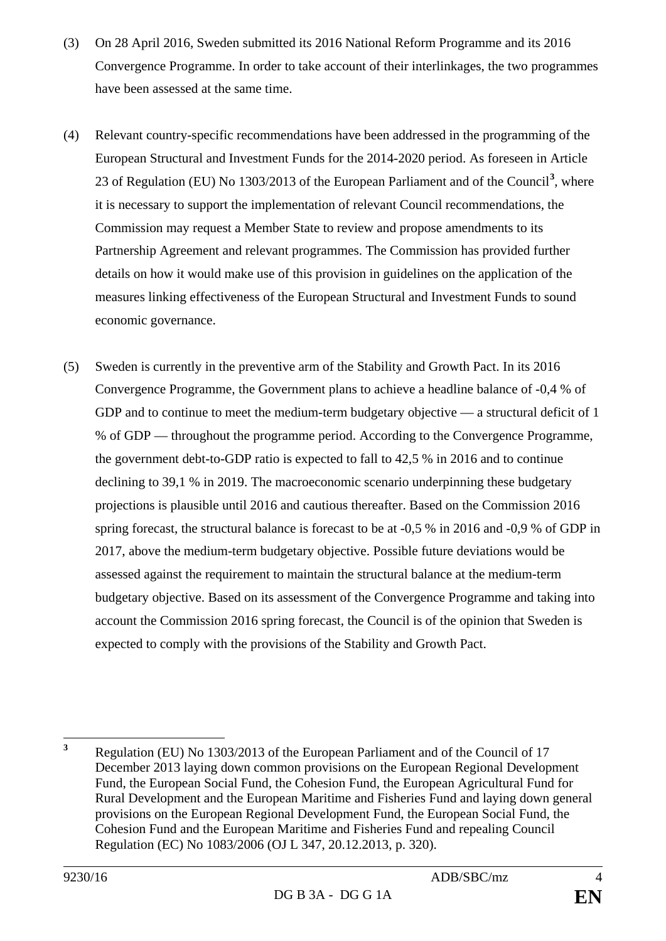- (3) On 28 April 2016, Sweden submitted its 2016 National Reform Programme and its 2016 Convergence Programme. In order to take account of their interlinkages, the two programmes have been assessed at the same time.
- (4) Relevant country-specific recommendations have been addressed in the programming of the European Structural and Investment Funds for the 2014-2020 period. As foreseen in Article 23 of Regulation (EU) No 1303/2013 of the European Parliament and of the Council**[3](#page-3-0)** , where it is necessary to support the implementation of relevant Council recommendations, the Commission may request a Member State to review and propose amendments to its Partnership Agreement and relevant programmes. The Commission has provided further details on how it would make use of this provision in guidelines on the application of the measures linking effectiveness of the European Structural and Investment Funds to sound economic governance.
- (5) Sweden is currently in the preventive arm of the Stability and Growth Pact. In its 2016 Convergence Programme, the Government plans to achieve a headline balance of -0,4 % of GDP and to continue to meet the medium-term budgetary objective — a structural deficit of 1 % of GDP — throughout the programme period. According to the Convergence Programme, the government debt-to-GDP ratio is expected to fall to 42,5 % in 2016 and to continue declining to 39,1 % in 2019. The macroeconomic scenario underpinning these budgetary projections is plausible until 2016 and cautious thereafter. Based on the Commission 2016 spring forecast, the structural balance is forecast to be at -0,5 % in 2016 and -0,9 % of GDP in 2017, above the medium-term budgetary objective. Possible future deviations would be assessed against the requirement to maintain the structural balance at the medium-term budgetary objective. Based on its assessment of the Convergence Programme and taking into account the Commission 2016 spring forecast, the Council is of the opinion that Sweden is expected to comply with the provisions of the Stability and Growth Pact.

<span id="page-3-0"></span>**<sup>3</sup>** Regulation (EU) No 1303/2013 of the European Parliament and of the Council of 17 December 2013 laying down common provisions on the European Regional Development Fund, the European Social Fund, the Cohesion Fund, the European Agricultural Fund for Rural Development and the European Maritime and Fisheries Fund and laying down general provisions on the European Regional Development Fund, the European Social Fund, the Cohesion Fund and the European Maritime and Fisheries Fund and repealing Council Regulation (EC) No 1083/2006 (OJ L 347, 20.12.2013, p. 320).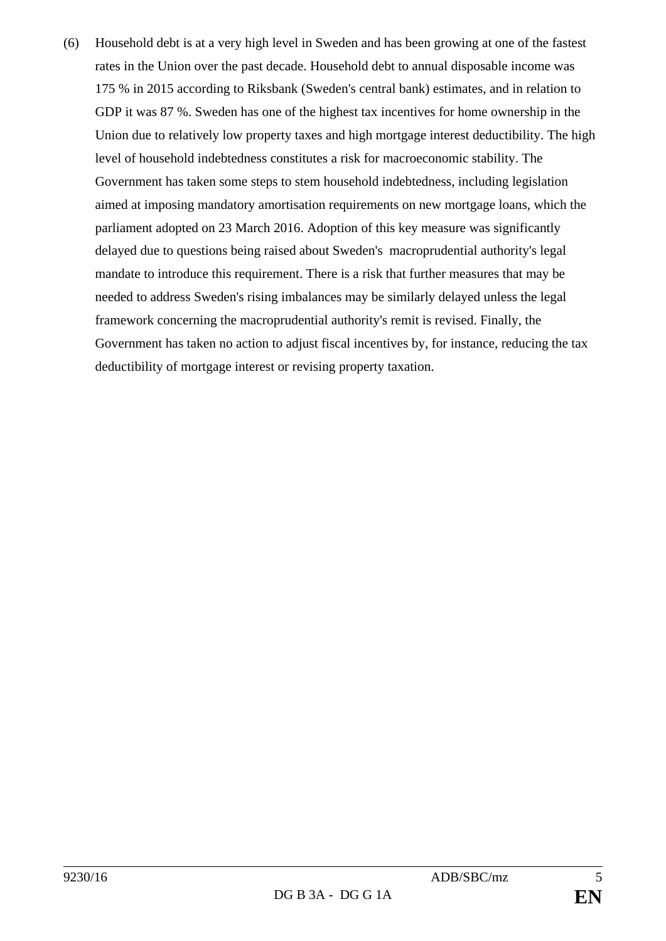(6) Household debt is at a very high level in Sweden and has been growing at one of the fastest rates in the Union over the past decade. Household debt to annual disposable income was 175 % in 2015 according to Riksbank (Sweden's central bank) estimates, and in relation to GDP it was 87 %. Sweden has one of the highest tax incentives for home ownership in the Union due to relatively low property taxes and high mortgage interest deductibility. The high level of household indebtedness constitutes a risk for macroeconomic stability. The Government has taken some steps to stem household indebtedness, including legislation aimed at imposing mandatory amortisation requirements on new mortgage loans, which the parliament adopted on 23 March 2016. Adoption of this key measure was significantly delayed due to questions being raised about Sweden's macroprudential authority's legal mandate to introduce this requirement. There is a risk that further measures that may be needed to address Sweden's rising imbalances may be similarly delayed unless the legal framework concerning the macroprudential authority's remit is revised. Finally, the Government has taken no action to adjust fiscal incentives by, for instance, reducing the tax deductibility of mortgage interest or revising property taxation.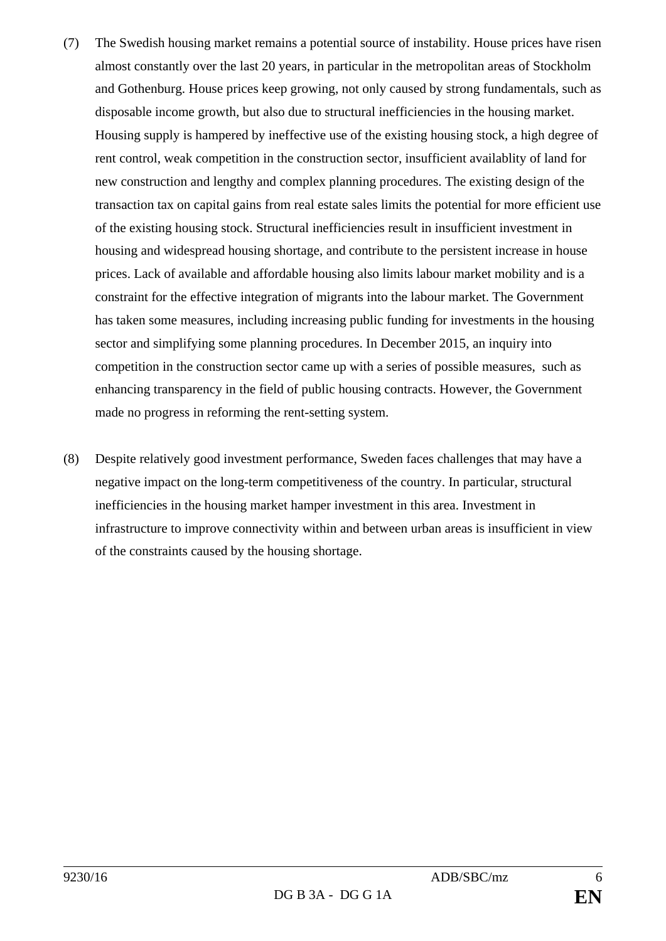- (7) The Swedish housing market remains a potential source of instability. House prices have risen almost constantly over the last 20 years, in particular in the metropolitan areas of Stockholm and Gothenburg. House prices keep growing, not only caused by strong fundamentals, such as disposable income growth, but also due to structural inefficiencies in the housing market. Housing supply is hampered by ineffective use of the existing housing stock, a high degree of rent control, weak competition in the construction sector, insufficient availablity of land for new construction and lengthy and complex planning procedures. The existing design of the transaction tax on capital gains from real estate sales limits the potential for more efficient use of the existing housing stock. Structural inefficiencies result in insufficient investment in housing and widespread housing shortage, and contribute to the persistent increase in house prices. Lack of available and affordable housing also limits labour market mobility and is a constraint for the effective integration of migrants into the labour market. The Government has taken some measures, including increasing public funding for investments in the housing sector and simplifying some planning procedures. In December 2015, an inquiry into competition in the construction sector came up with a series of possible measures, such as enhancing transparency in the field of public housing contracts. However, the Government made no progress in reforming the rent-setting system.
- (8) Despite relatively good investment performance, Sweden faces challenges that may have a negative impact on the long-term competitiveness of the country. In particular, structural inefficiencies in the housing market hamper investment in this area. Investment in infrastructure to improve connectivity within and between urban areas is insufficient in view of the constraints caused by the housing shortage.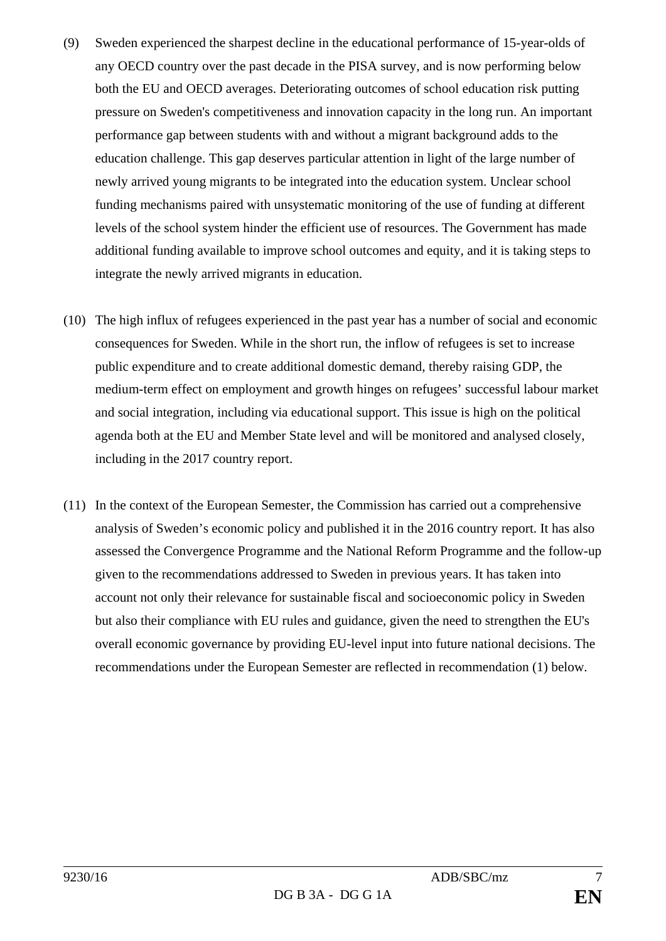- (9) Sweden experienced the sharpest decline in the educational performance of 15-year-olds of any OECD country over the past decade in the PISA survey, and is now performing below both the EU and OECD averages. Deteriorating outcomes of school education risk putting pressure on Sweden's competitiveness and innovation capacity in the long run. An important performance gap between students with and without a migrant background adds to the education challenge. This gap deserves particular attention in light of the large number of newly arrived young migrants to be integrated into the education system. Unclear school funding mechanisms paired with unsystematic monitoring of the use of funding at different levels of the school system hinder the efficient use of resources. The Government has made additional funding available to improve school outcomes and equity, and it is taking steps to integrate the newly arrived migrants in education.
- (10) The high influx of refugees experienced in the past year has a number of social and economic consequences for Sweden. While in the short run, the inflow of refugees is set to increase public expenditure and to create additional domestic demand, thereby raising GDP, the medium-term effect on employment and growth hinges on refugees' successful labour market and social integration, including via educational support. This issue is high on the political agenda both at the EU and Member State level and will be monitored and analysed closely, including in the 2017 country report.
- (11) In the context of the European Semester, the Commission has carried out a comprehensive analysis of Sweden's economic policy and published it in the 2016 country report. It has also assessed the Convergence Programme and the National Reform Programme and the follow-up given to the recommendations addressed to Sweden in previous years. It has taken into account not only their relevance for sustainable fiscal and socioeconomic policy in Sweden but also their compliance with EU rules and guidance, given the need to strengthen the EU's overall economic governance by providing EU-level input into future national decisions. The recommendations under the European Semester are reflected in recommendation (1) below.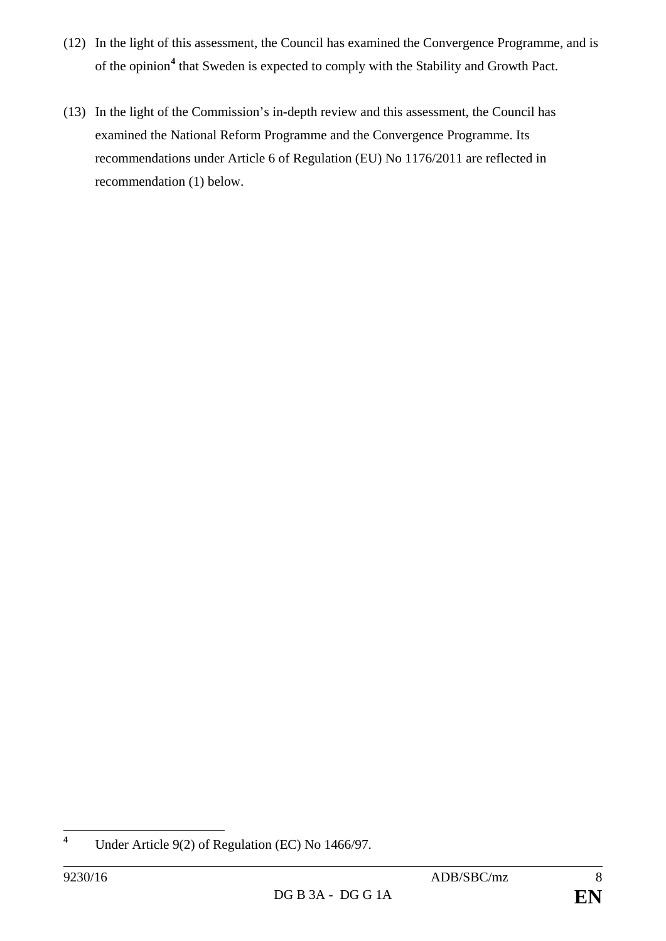- (12) In the light of this assessment, the Council has examined the Convergence Programme, and is of the opinion**[4](#page-7-0)** that Sweden is expected to comply with the Stability and Growth Pact.
- (13) In the light of the Commission's in-depth review and this assessment, the Council has examined the National Reform Programme and the Convergence Programme. Its recommendations under Article 6 of Regulation (EU) No 1176/2011 are reflected in recommendation (1) below.

<span id="page-7-0"></span>**<sup>4</sup>** Under Article 9(2) of Regulation (EC) No 1466/97.